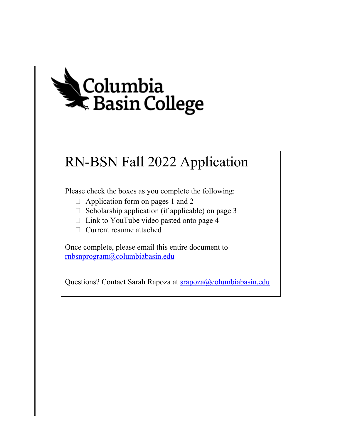

# RN-BSN Fall 2022 Application

Please check the boxes as you complete the following:

- $\Box$  Application form on pages 1 and 2
- $\Box$  Scholarship application (if applicable) on page 3
- $\Box$  Link to YouTube video pasted onto page 4
- Current resume attached

 Once complete, please email this entire document to [rnbsnprogram@columbiabasin.edu](mailto:rnbsnprogram@columbiabasin.edu) 

Questions? Contact Sarah Rapoza at srapoza@columbiabasin.edu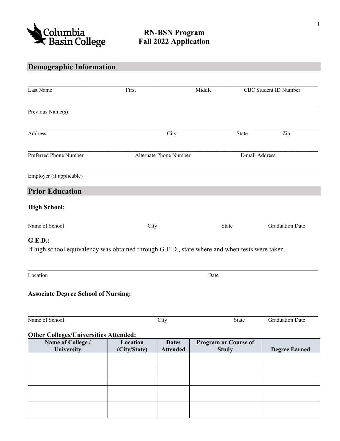

# **Demographic Information**

| Last Name                                                                                                        | First                    |                                 | Middle                                      |                        | CBC Student ID Number  |  |
|------------------------------------------------------------------------------------------------------------------|--------------------------|---------------------------------|---------------------------------------------|------------------------|------------------------|--|
| Previous Name(s)                                                                                                 |                          |                                 |                                             |                        |                        |  |
| Address                                                                                                          |                          | City                            |                                             | State                  | Zip                    |  |
| Preferred Phone Number                                                                                           |                          | Alternate Phone Number          |                                             | E-mail Address         |                        |  |
| Employer (if applicable)                                                                                         |                          |                                 |                                             |                        |                        |  |
| <b>Prior Education</b>                                                                                           |                          |                                 |                                             |                        |                        |  |
| <b>High School:</b>                                                                                              |                          |                                 |                                             |                        |                        |  |
| Name of School                                                                                                   | City                     |                                 | State                                       | <b>Graduation Date</b> |                        |  |
|                                                                                                                  |                          |                                 |                                             |                        |                        |  |
| <b>G.E.D.:</b><br>If high school equivalency was obtained through G.E.D., state where and when tests were taken. |                          |                                 |                                             |                        |                        |  |
| Location                                                                                                         |                          |                                 | Date                                        |                        |                        |  |
| <b>Associate Degree School of Nursing:</b>                                                                       |                          |                                 |                                             |                        |                        |  |
| Name of School                                                                                                   |                          | City                            |                                             | State                  | <b>Graduation Date</b> |  |
| <b>Other Colleges/Universities Attended:</b>                                                                     |                          |                                 |                                             |                        |                        |  |
| Name of College /<br>University                                                                                  | Location<br>(City/State) | <b>Dates</b><br><b>Attended</b> | <b>Program or Course of</b><br><b>Study</b> |                        | <b>Degree Earned</b>   |  |
|                                                                                                                  |                          |                                 |                                             |                        |                        |  |
|                                                                                                                  |                          |                                 |                                             |                        |                        |  |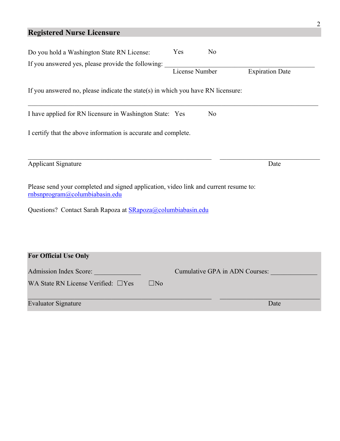#### **Registered Nurse Licensure**

| Do you hold a Washington State RN License:                                                                             | Yes            | N <sub>o</sub> |                                |  |
|------------------------------------------------------------------------------------------------------------------------|----------------|----------------|--------------------------------|--|
| If you answered yes, please provide the following:                                                                     | License Number |                | <b>Expiration Date</b>         |  |
| If you answered no, please indicate the state(s) in which you have RN licensure:                                       |                |                |                                |  |
| I have applied for RN licensure in Washington State: Yes                                                               |                | No             |                                |  |
| I certify that the above information is accurate and complete.                                                         |                |                |                                |  |
| <b>Applicant Signature</b>                                                                                             |                |                | Date                           |  |
| Please send your completed and signed application, video link and current resume to:<br>rnbsnprogram@columbiabasin.edu |                |                |                                |  |
| Questions? Contact Sarah Rapoza at SRapoza@columbiabasin.edu                                                           |                |                |                                |  |
|                                                                                                                        |                |                |                                |  |
| <b>For Official Use Only</b>                                                                                           |                |                |                                |  |
| Admission Index Score:                                                                                                 |                |                | Cumulative GPA in ADN Courses: |  |
| WA State RN License Verified: □Yes<br>$\square$ No                                                                     |                |                |                                |  |
| <b>Evaluator Signature</b>                                                                                             |                |                | Date                           |  |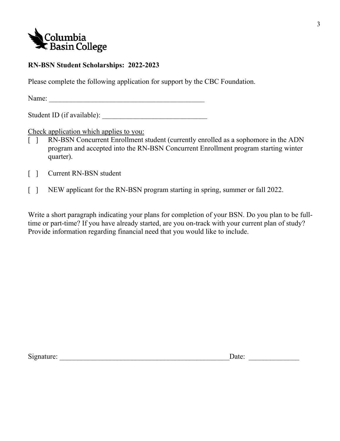

### **RN-BSN Student Scholarships: 2022-2023**

Please complete the following application for support by the CBC Foundation.

Name: \_\_\_\_\_\_\_\_\_\_\_\_\_\_\_\_\_\_\_\_\_\_\_\_\_\_\_\_\_\_\_\_\_\_\_\_\_\_\_\_\_\_\_

Student ID (if available):

Check application which applies to you:

- $\Box$  program and accepted into the RN-BSN Concurrent Enrollment program starting winter RN-BSN Concurrent Enrollment student (currently enrolled as a sophomore in the ADN quarter).
- $\lceil \cdot \rceil$ Current RN-BSN student
- $\lceil \rceil$ NEW applicant for the RN-BSN program starting in spring, summer or fall 2022.

 Write a short paragraph indicating your plans for completion of your BSN. Do you plan to be full- time or part-time? If you have already started, are you on-track with your current plan of study? Provide information regarding financial need that you would like to include.

Signature:  $\Box$